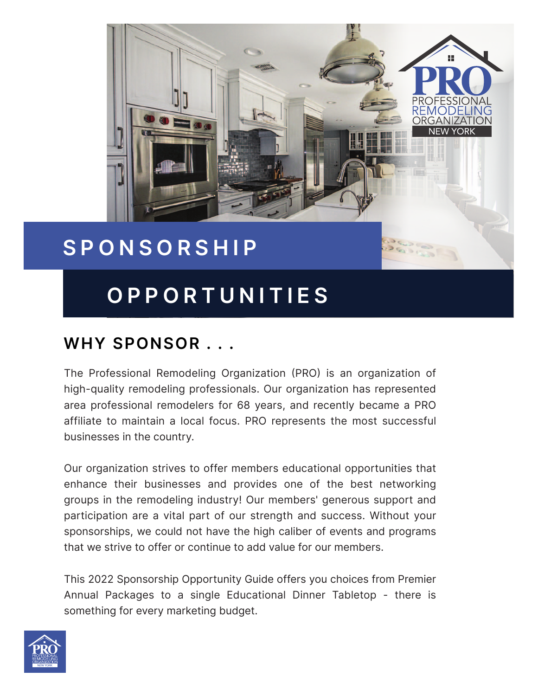

# **SPONSORSHIP**

# **OPPORTUNITIES**

## **WHY SPONSOR . . .**

The Professional Remodeling Organization (PRO) is an organization of high-quality remodeling professionals. Our organization has represented area professional remodelers for 68 years, and recently became a PRO affiliate to maintain a local focus. PRO represents the most successful businesses in the country.

Our organization strives to offer members educational opportunities that enhance their businesses and provides one of the best networking groups in the remodeling industry! Our members' generous support and participation are a vital part of our strength and success. Without your sponsorships, we could not have the high caliber of events and programs that we strive to offer or continue to add value for our members.

This 2022 Sponsorship Opportunity Guide offers you choices from Premier Annual Packages to a single Educational Dinner Tabletop - there is something for every marketing budget.

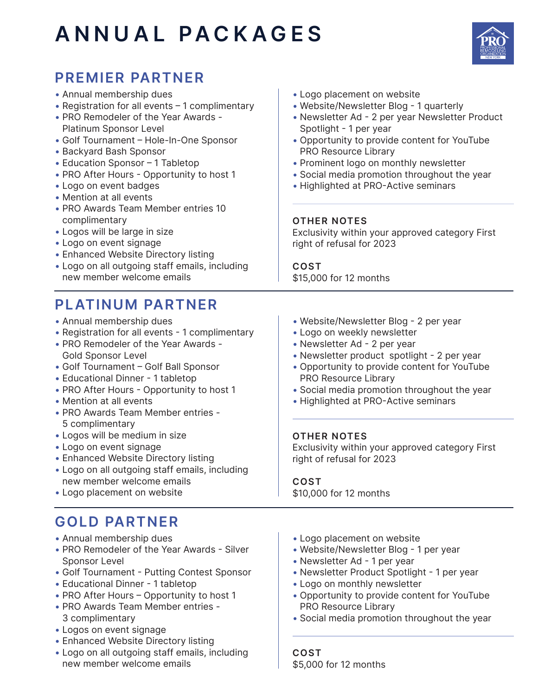# **ANNUAL PACKAGES**



## **PREMIER PARTNER**

- Annual membership dues
- Registration for all events 1 complimentary
- PRO Remodeler of the Year Awards Platinum Sponsor Level
- Golf Tournament Hole-In-One Sponsor
- Backyard Bash Sponsor
- Education Sponsor 1 Tabletop
- PRO After Hours Opportunity to host 1
- Logo on event badges
- Mention at all events
- PRO Awards Team Member entries 10 complimentary
- Logos will be large in size
- Logo on event signage
- Enhanced Website Directory listing
- Logo on all outgoing staff emails, including new member welcome emails

#### **PLATINUM PARTNER**

- Annual membership dues
- Registration for all events 1 complimentary
- PRO Remodeler of the Year Awards Gold Sponsor Level
- Golf Tournament Golf Ball Sponsor
- Educational Dinner 1 tabletop
- PRO After Hours Opportunity to host 1
- Mention at all events
- PRO Awards Team Member entries 5 complimentary
- Logos will be medium in size
- Logo on event signage
- Enhanced Website Directory listing
- Logo on all outgoing staff emails, including new member welcome emails
- Logo placement on website

#### **GOLD PARTNER**

- Annual membership dues
- PRO Remodeler of the Year Awards Silver Sponsor Level
- Golf Tournament Putting Contest Sponsor
- Educational Dinner 1 tabletop
- PRO After Hours Opportunity to host 1
- PRO Awards Team Member entries 3 complimentary
- Logos on event signage
- Enhanced Website Directory listing
- Logo on all outgoing staff emails, including new member welcome emails
- Logo placement on website
- Website/Newsletter Blog 1 quarterly
- Newsletter Ad 2 per year Newsletter Product Spotlight - 1 per year
- Opportunity to provide content for YouTube PRO Resource Library
- Prominent logo on monthly newsletter
- Social media promotion throughout the year
- Highlighted at PRO-Active seminars

#### **OTHER NOTES**

Exclusivity within your approved category First right of refusal for 2023

**COST** \$15,000 for 12 months

- Website/Newsletter Blog 2 per year
- Logo on weekly newsletter
- Newsletter Ad 2 per year
- Newsletter product spotlight 2 per year
- Opportunity to provide content for YouTube PRO Resource Library
- Social media promotion throughout the year
- Highlighted at PRO-Active seminars

#### **OTHER NOTES**

Exclusivity within your approved category First right of refusal for 2023

**COST** \$10,000 for 12 months

- Logo placement on website
- Website/Newsletter Blog 1 per year
- Newsletter Ad 1 per year
- Newsletter Product Spotlight 1 per year
- Logo on monthly newsletter
- Opportunity to provide content for YouTube PRO Resource Library
- Social media promotion throughout the year

**COST** \$5,000 for 12 months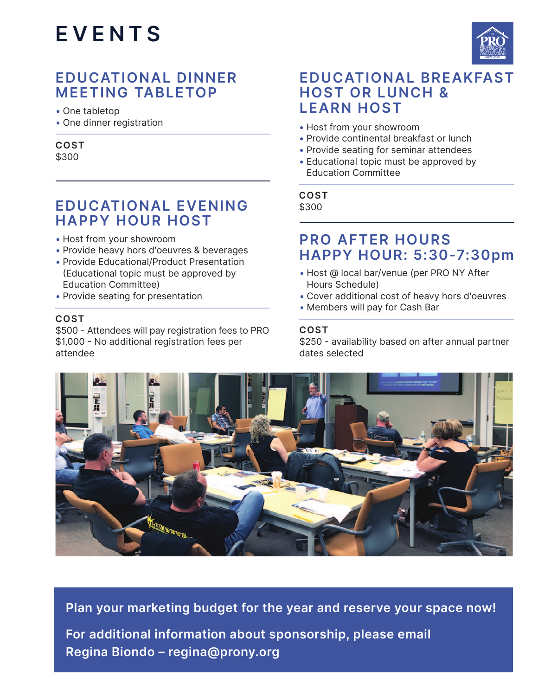

#### **EDUCATIONAL DINNER MEETING TABLETOP**

• One tabletop

• One dinner registration

#### **COST** \$300

#### **EDUCATIONAL EVENING HAPPY HOUR HOST**

- Host from your showroom
- Provide heavy hors d'oeuvres & beverages
- Provide Educational/Product Presentation (Educational topic must be approved by Education Committee)
- Provide seating for presentation

#### **COST**

\$500 - Attendees will pay registration fees to PRO \$1,000 - No additional registration fees per attendee

#### **EDUCATIONAL BREAKFAST HOST OR LUNCH & LEARN HOST**

- Host from your showroom
- Provide continental breakfast or lunch
- Provide seating for seminar attendees
- Educational topic must be approved by Education Committee

#### **COST** \$300

#### **PRO AFTER HOURS HAPPY HOUR: 5:30-7:30pm**

- Host @ local bar/venue (per PRO NY After Hours Schedule)
- Cover additional cost of heavy hors d'oeuvres
- Members will pay for Cash Bar

#### **COST**

\$250 - availability based on after annual partner dates selected



**Plan your marketing budget for the year and reserve your space now! For additional information about sponsorship, please email Regina Biondo – regina@prony.org**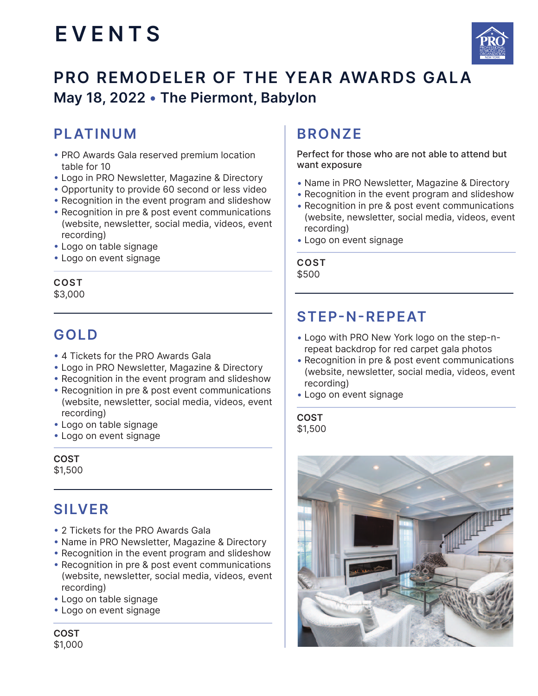

## **PRO REMODELER OF THE YEAR AWARDS GALA May 18, 2022 • The Piermont, Babylon**

#### **PLATINUM**

- PRO Awards Gala reserved premium location table for 10
- Logo in PRO Newsletter, Magazine & Directory
- Opportunity to provide 60 second or less video
- Recognition in the event program and slideshow
- Recognition in pre & post event communications (website, newsletter, social media, videos, event recording)
- Logo on table signage
- Logo on event signage

#### **COST** \$3,000

### **GOLD**

- 4 Tickets for the PRO Awards Gala
- Logo in PRO Newsletter, Magazine & Directory
- Recognition in the event program and slideshow
- Recognition in pre & post event communications (website, newsletter, social media, videos, event recording)
- Logo on table signage
- Logo on event signage

**COST** \$1,500

### **SILVER**

- 2 Tickets for the PRO Awards Gala
- Name in PRO Newsletter, Magazine & Directory
- Recognition in the event program and slideshow
- Recognition in pre & post event communications (website, newsletter, social media, videos, event recording)
- Logo on table signage
- Logo on event signage

**COST** \$1,000

## **BRONZE**

Perfect for those who are not able to attend but want exposure

- Name in PRO Newsletter, Magazine & Directory
- Recognition in the event program and slideshow
- Recognition in pre & post event communications (website, newsletter, social media, videos, event recording)
- Logo on event signage

**COST** \$500

#### **STEP-N-REPEAT**

- Logo with PRO New York logo on the step-n repeat backdrop for red carpet gala photos
- Recognition in pre & post event communications (website, newsletter, social media, videos, event recording)
- Logo on event signage

#### **COST** \$1,500

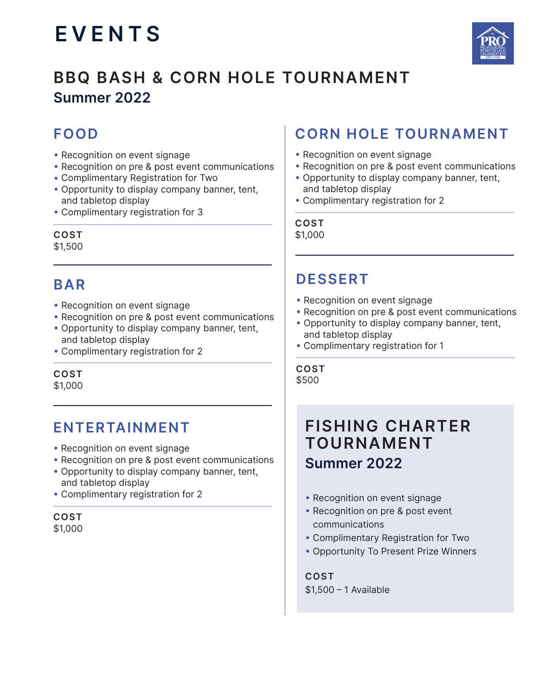

## **BBQ BASH & CORN HOLE TOURNAMENT Summer 2022**

## **FOOD**

- Recognition on event signage
- Recognition on pre & post event communications
- Complimentary Registration for Two
- Opportunity to display company banner, tent, and tabletop display
- Complimentary registration for 3

#### **COST**

\$1,500

### **BAR**

- Recognition on event signage
- Recognition on pre & post event communications
- Opportunity to display company banner, tent, and tabletop display
- Complimentary registration for 2

**COST** \$1,000

### **ENTERTAINMENT**

- Recognition on event signage
- Recognition on pre & post event communications
- Opportunity to display company banner, tent, and tabletop display
- Complimentary registration for 2

**COST** \$1,000

## **CORN HOLE TOURNAMENT**

- Recognition on event signage
- Recognition on pre & post event communications
- Opportunity to display company banner, tent, and tabletop display
- Complimentary registration for 2

**COST** \$1,000

## **DESSERT**

- Recognition on event signage
- Recognition on pre & post event communications
- Opportunity to display company banner, tent, and tabletop display
- Complimentary registration for 1

**COST** \$500

## **FISHING CHARTER TOURNAMENT Summer 2022**

- Recognition on event signage
- Recognition on pre & post event communications
- Complimentary Registration for Two
- Opportunity To Present Prize Winners

**COST** \$1,500 – 1 Available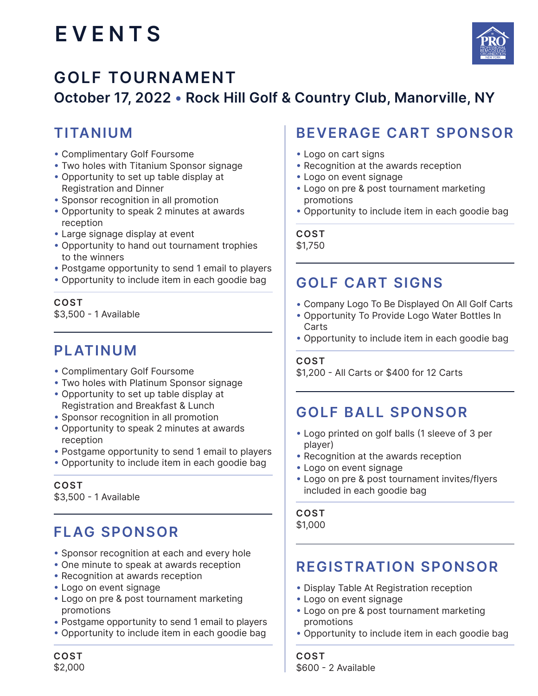

## **GOLF TOURNAMENT October 17, 2022 • Rock Hill Golf & Country Club, Manorville, NY**

### **TITANIUM**

- Complimentary Golf Foursome
- Two holes with Titanium Sponsor signage
- Opportunity to set up table display at Registration and Dinner
- Sponsor recognition in all promotion
- Opportunity to speak 2 minutes at awards reception
- Large signage display at event
- Opportunity to hand out tournament trophies to the winners
- Postgame opportunity to send 1 email to players
- Opportunity to include item in each goodie bag

**COST** \$3,500 - 1 Available

### **PLATINUM**

- Complimentary Golf Foursome
- Two holes with Platinum Sponsor signage
- Opportunity to set up table display at Registration and Breakfast & Lunch
- Sponsor recognition in all promotion
- Opportunity to speak 2 minutes at awards reception
- Postgame opportunity to send 1 email to players
- Opportunity to include item in each goodie bag

#### **COST**

\$3,500 - 1 Available

## **FLAG SPONSOR**

- Sponsor recognition at each and every hole
- One minute to speak at awards reception
- Recognition at awards reception
- Logo on event signage
- Logo on pre & post tournament marketing promotions
- Postgame opportunity to send 1 email to players
- Opportunity to include item in each goodie bag

## **BEVERAGE CART SPONSOR**

- Logo on cart signs
- Recognition at the awards reception
- Logo on event signage
- Logo on pre & post tournament marketing promotions
- Opportunity to include item in each goodie bag

#### **COST**

\$1,750

#### **GOLF CART SIGNS**

- Company Logo To Be Displayed On All Golf Carts
- Opportunity To Provide Logo Water Bottles In Carts
- Opportunity to include item in each goodie bag

#### **COST**

\$1,200 - All Carts or \$400 for 12 Carts

#### **GOLF BALL SPONSOR**

- Logo printed on golf balls (1 sleeve of 3 per player)
- Recognition at the awards reception
- Logo on event signage
- Logo on pre & post tournament invites/flyers included in each goodie bag

#### **COST**

\$1,000

#### **REGISTRATION SPONSOR**

- Display Table At Registration reception
- Logo on event signage
- Logo on pre & post tournament marketing promotions
- Opportunity to include item in each goodie bag

**COST** \$2,000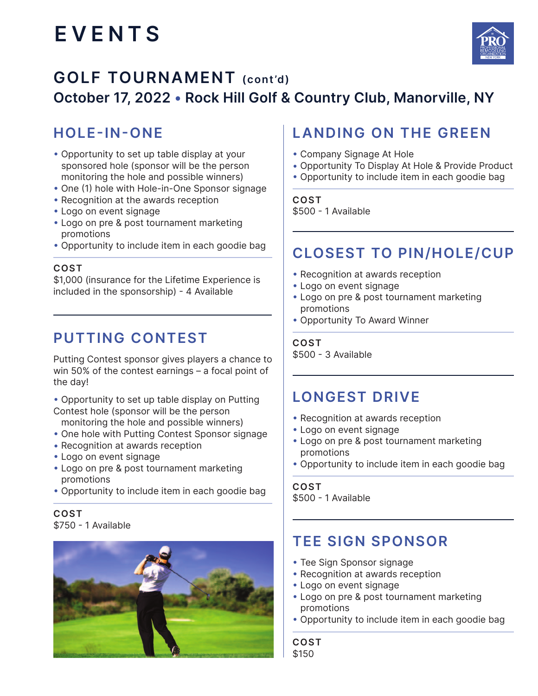

## **GOLF TOURNAMENT (cont'd) October 17, 2022 • Rock Hill Golf & Country Club, Manorville, NY**

## **HOLE-IN-ONE**

- Opportunity to set up table display at your sponsored hole (sponsor will be the person monitoring the hole and possible winners)
- One (1) hole with Hole-in-One Sponsor signage
- Recognition at the awards reception
- Logo on event signage
- Logo on pre & post tournament marketing promotions
- Opportunity to include item in each goodie bag

#### **COST**

\$1,000 (insurance for the Lifetime Experience is included in the sponsorship) - 4 Available

#### **PUTTING CONTEST**

Putting Contest sponsor gives players a chance to win 50% of the contest earnings – a focal point of the day!

• Opportunity to set up table display on Putting Contest hole (sponsor will be the person

- monitoring the hole and possible winners)
- One hole with Putting Contest Sponsor signage
- Recognition at awards reception
- Logo on event signage
- Logo on pre & post tournament marketing promotions
- Opportunity to include item in each goodie bag

**COST**  \$750 - 1 Available



#### **LANDING ON THE GREEN**

- Company Signage At Hole
- Opportunity To Display At Hole & Provide Product
- Opportunity to include item in each goodie bag

**COST**  \$500 - 1 Available

#### **CLOSEST TO PIN/HOLE/CUP**

- Recognition at awards reception
- Logo on event signage
- Logo on pre & post tournament marketing promotions
- Opportunity To Award Winner

**COST** 

\$500 - 3 Available

#### **LONGEST DRIVE**

- Recognition at awards reception
- Logo on event signage
- Logo on pre & post tournament marketing promotions
- Opportunity to include item in each goodie bag

**COST**  \$500 - 1 Available

#### **TEE SIGN SPONSOR**

- Tee Sign Sponsor signage
- Recognition at awards reception
- Logo on event signage
- Logo on pre & post tournament marketing promotions
- Opportunity to include item in each goodie bag

**COST**  \$150